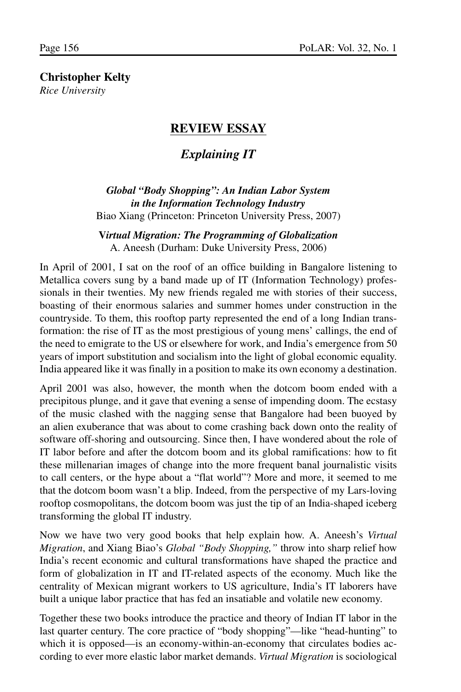## **Christopher Kelty** *Rice University*

## **REVIEW ESSAY**

## *Explaining IT*

*Global "Body Shopping": An Indian Labor System in the Information Technology Industry* Biao Xiang (Princeton: Princeton University Press, 2007)

**V***irtual Migration: The Programming of Globalization* A. Aneesh (Durham: Duke University Press, 2006)

In April of 2001, I sat on the roof of an office building in Bangalore listening to Metallica covers sung by a band made up of IT (Information Technology) professionals in their twenties. My new friends regaled me with stories of their success, boasting of their enormous salaries and summer homes under construction in the countryside. To them, this rooftop party represented the end of a long Indian transformation: the rise of IT as the most prestigious of young mens' callings, the end of the need to emigrate to the US or elsewhere for work, and India's emergence from 50 years of import substitution and socialism into the light of global economic equality. India appeared like it was finally in a position to make its own economy a destination.

April 2001 was also, however, the month when the dotcom boom ended with a precipitous plunge, and it gave that evening a sense of impending doom. The ecstasy of the music clashed with the nagging sense that Bangalore had been buoyed by an alien exuberance that was about to come crashing back down onto the reality of software off-shoring and outsourcing. Since then, I have wondered about the role of IT labor before and after the dotcom boom and its global ramifications: how to fit these millenarian images of change into the more frequent banal journalistic visits to call centers, or the hype about a "flat world"? More and more, it seemed to me that the dotcom boom wasn't a blip. Indeed, from the perspective of my Lars-loving rooftop cosmopolitans, the dotcom boom was just the tip of an India-shaped iceberg transforming the global IT industry.

Now we have two very good books that help explain how. A. Aneesh's *Virtual Migration*, and Xiang Biao's *Global "Body Shopping,"* throw into sharp relief how India's recent economic and cultural transformations have shaped the practice and form of globalization in IT and IT-related aspects of the economy. Much like the centrality of Mexican migrant workers to US agriculture, India's IT laborers have built a unique labor practice that has fed an insatiable and volatile new economy.

Together these two books introduce the practice and theory of Indian IT labor in the last quarter century. The core practice of "body shopping"—like "head-hunting" to which it is opposed—is an economy-within-an-economy that circulates bodies according to ever more elastic labor market demands. *Virtual Migration* is sociological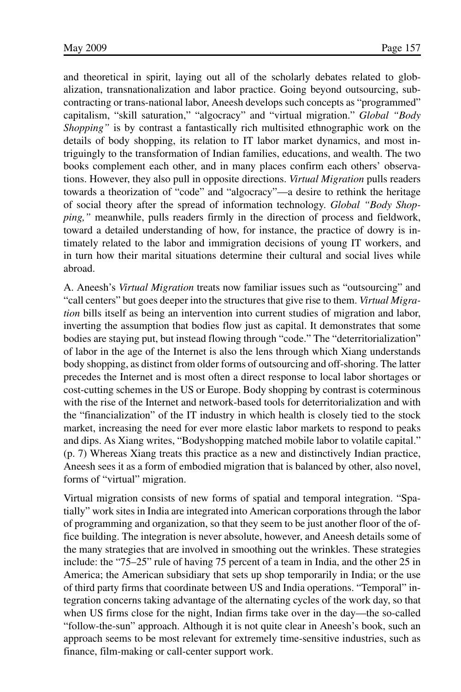and theoretical in spirit, laying out all of the scholarly debates related to globalization, transnationalization and labor practice. Going beyond outsourcing, subcontracting or trans-national labor, Aneesh develops such concepts as "programmed" capitalism, "skill saturation," "algocracy" and "virtual migration." *Global "Body Shopping"* is by contrast a fantastically rich multisited ethnographic work on the details of body shopping, its relation to IT labor market dynamics, and most intriguingly to the transformation of Indian families, educations, and wealth. The two books complement each other, and in many places confirm each others' observations. However, they also pull in opposite directions. *Virtual Migration* pulls readers towards a theorization of "code" and "algocracy"—a desire to rethink the heritage of social theory after the spread of information technology. *Global "Body Shopping,"* meanwhile, pulls readers firmly in the direction of process and fieldwork, toward a detailed understanding of how, for instance, the practice of dowry is intimately related to the labor and immigration decisions of young IT workers, and in turn how their marital situations determine their cultural and social lives while abroad.

A. Aneesh's *Virtual Migration* treats now familiar issues such as "outsourcing" and "call centers" but goes deeper into the structures that give rise to them. *Virtual Migration* bills itself as being an intervention into current studies of migration and labor, inverting the assumption that bodies flow just as capital. It demonstrates that some bodies are staying put, but instead flowing through "code." The "deterritorialization" of labor in the age of the Internet is also the lens through which Xiang understands body shopping, as distinct from older forms of outsourcing and off-shoring. The latter precedes the Internet and is most often a direct response to local labor shortages or cost-cutting schemes in the US or Europe. Body shopping by contrast is coterminous with the rise of the Internet and network-based tools for deterritorialization and with the "financialization" of the IT industry in which health is closely tied to the stock market, increasing the need for ever more elastic labor markets to respond to peaks and dips. As Xiang writes, "Bodyshopping matched mobile labor to volatile capital." (p. 7) Whereas Xiang treats this practice as a new and distinctively Indian practice, Aneesh sees it as a form of embodied migration that is balanced by other, also novel, forms of "virtual" migration.

Virtual migration consists of new forms of spatial and temporal integration. "Spatially" work sites in India are integrated into American corporations through the labor of programming and organization, so that they seem to be just another floor of the office building. The integration is never absolute, however, and Aneesh details some of the many strategies that are involved in smoothing out the wrinkles. These strategies include: the "75–25" rule of having 75 percent of a team in India, and the other 25 in America; the American subsidiary that sets up shop temporarily in India; or the use of third party firms that coordinate between US and India operations. "Temporal" integration concerns taking advantage of the alternating cycles of the work day, so that when US firms close for the night, Indian firms take over in the day—the so-called "follow-the-sun" approach. Although it is not quite clear in Aneesh's book, such an approach seems to be most relevant for extremely time-sensitive industries, such as finance, film-making or call-center support work.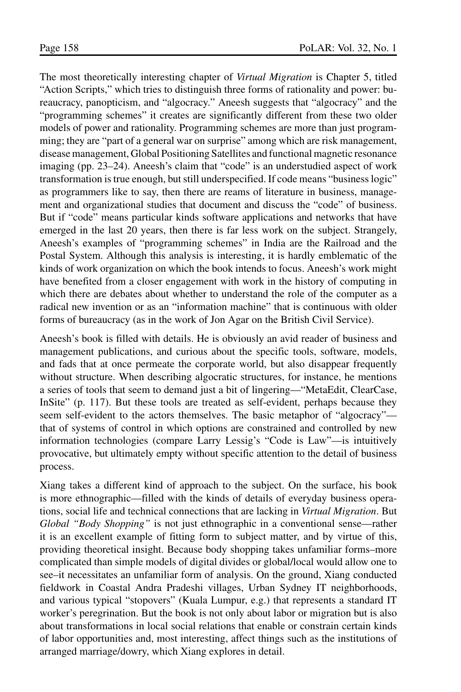The most theoretically interesting chapter of *Virtual Migration* is Chapter 5, titled "Action Scripts," which tries to distinguish three forms of rationality and power: bureaucracy, panopticism, and "algocracy." Aneesh suggests that "algocracy" and the "programming schemes" it creates are significantly different from these two older models of power and rationality. Programming schemes are more than just programming; they are "part of a general war on surprise" among which are risk management, disease management, Global Positioning Satellites and functional magnetic resonance imaging (pp. 23–24). Aneesh's claim that "code" is an understudied aspect of work transformation is true enough, but still underspecified. If code means "business logic" as programmers like to say, then there are reams of literature in business, management and organizational studies that document and discuss the "code" of business. But if "code" means particular kinds software applications and networks that have emerged in the last 20 years, then there is far less work on the subject. Strangely, Aneesh's examples of "programming schemes" in India are the Railroad and the Postal System. Although this analysis is interesting, it is hardly emblematic of the kinds of work organization on which the book intends to focus. Aneesh's work might have benefited from a closer engagement with work in the history of computing in which there are debates about whether to understand the role of the computer as a radical new invention or as an "information machine" that is continuous with older forms of bureaucracy (as in the work of Jon Agar on the British Civil Service).

Aneesh's book is filled with details. He is obviously an avid reader of business and management publications, and curious about the specific tools, software, models, and fads that at once permeate the corporate world, but also disappear frequently without structure. When describing algocratic structures, for instance, he mentions a series of tools that seem to demand just a bit of lingering—"MetaEdit, ClearCase, InSite" (p. 117). But these tools are treated as self-evident, perhaps because they seem self-evident to the actors themselves. The basic metaphor of "algocracy" that of systems of control in which options are constrained and controlled by new information technologies (compare Larry Lessig's "Code is Law"—is intuitively provocative, but ultimately empty without specific attention to the detail of business process.

Xiang takes a different kind of approach to the subject. On the surface, his book is more ethnographic—filled with the kinds of details of everyday business operations, social life and technical connections that are lacking in *Virtual Migration*. But *Global "Body Shopping"* is not just ethnographic in a conventional sense—rather it is an excellent example of fitting form to subject matter, and by virtue of this, providing theoretical insight. Because body shopping takes unfamiliar forms–more complicated than simple models of digital divides or global/local would allow one to see–it necessitates an unfamiliar form of analysis. On the ground, Xiang conducted fieldwork in Coastal Andra Pradeshi villages, Urban Sydney IT neighborhoods, and various typical "stopovers" (Kuala Lumpur, e.g.) that represents a standard IT worker's peregrination. But the book is not only about labor or migration but is also about transformations in local social relations that enable or constrain certain kinds of labor opportunities and, most interesting, affect things such as the institutions of arranged marriage/dowry, which Xiang explores in detail.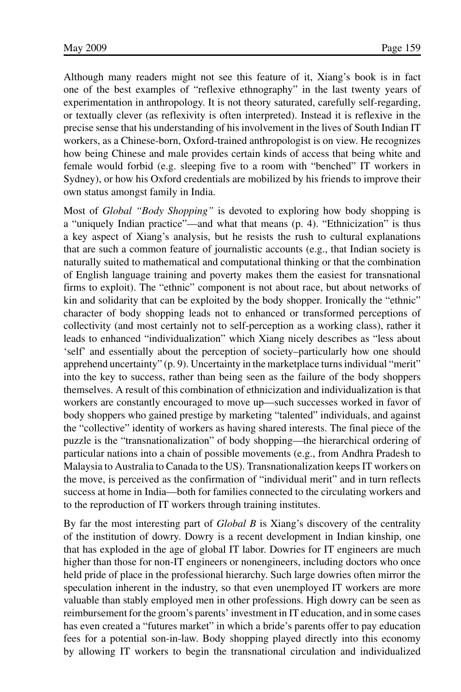Although many readers might not see this feature of it, Xiang's book is in fact one of the best examples of "reflexive ethnography" in the last twenty years of experimentation in anthropology. It is not theory saturated, carefully self-regarding, or textually clever (as reflexivity is often interpreted). Instead it is reflexive in the precise sense that his understanding of his involvement in the lives of South Indian IT workers, as a Chinese-born, Oxford-trained anthropologist is on view. He recognizes how being Chinese and male provides certain kinds of access that being white and female would forbid (e.g. sleeping five to a room with "benched" IT workers in Sydney), or how his Oxford credentials are mobilized by his friends to improve their own status amongst family in India.

Most of *Global "Body Shopping"* is devoted to exploring how body shopping is a "uniquely Indian practice"—and what that means (p. 4). "Ethnicization" is thus a key aspect of Xiang's analysis, but he resists the rush to cultural explanations that are such a common feature of journalistic accounts (e.g., that Indian society is naturally suited to mathematical and computational thinking or that the combination of English language training and poverty makes them the easiest for transnational firms to exploit). The "ethnic" component is not about race, but about networks of kin and solidarity that can be exploited by the body shopper. Ironically the "ethnic" character of body shopping leads not to enhanced or transformed perceptions of collectivity (and most certainly not to self-perception as a working class), rather it leads to enhanced "individualization" which Xiang nicely describes as "less about 'self' and essentially about the perception of society–particularly how one should apprehend uncertainty" (p. 9). Uncertainty in the marketplace turns individual "merit" into the key to success, rather than being seen as the failure of the body shoppers themselves. A result of this combination of ethnicization and individualization is that workers are constantly encouraged to move up—such successes worked in favor of body shoppers who gained prestige by marketing "talented" individuals, and against the "collective" identity of workers as having shared interests. The final piece of the puzzle is the "transnationalization" of body shopping—the hierarchical ordering of particular nations into a chain of possible movements (e.g., from Andhra Pradesh to Malaysia to Australia to Canada to the US). Transnationalization keeps IT workers on the move, is perceived as the confirmation of "individual merit" and in turn reflects success at home in India—both for families connected to the circulating workers and to the reproduction of IT workers through training institutes.

By far the most interesting part of *Global B* is Xiang's discovery of the centrality of the institution of dowry. Dowry is a recent development in Indian kinship, one that has exploded in the age of global IT labor. Dowries for IT engineers are much higher than those for non-IT engineers or nonengineers, including doctors who once held pride of place in the professional hierarchy. Such large dowries often mirror the speculation inherent in the industry, so that even unemployed IT workers are more valuable than stably employed men in other professions. High dowry can be seen as reimbursement for the groom's parents' investment in IT education, and in some cases has even created a "futures market" in which a bride's parents offer to pay education fees for a potential son-in-law. Body shopping played directly into this economy by allowing IT workers to begin the transnational circulation and individualized